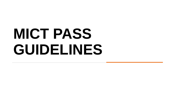# **MICT PASS GUIDELINES**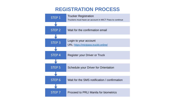#### **REGISTRATION PROCESS**

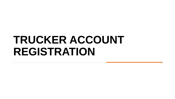## **TRUCKER ACCOUNT REGISTRATION**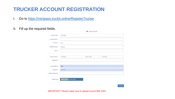### **TRUCKER ACCOUNT REGISTRATION**

- I. Go to <https://mictpass.truckit.online/RegisterTrucker>
- II. Fill up the required fields.

|                            | <b>I</b> User Account                                  |
|----------------------------|--------------------------------------------------------|
| <b>Account Type: *</b>     | v<br><b>TRUCKING</b>                                   |
| <b>Company Name:</b> *     |                                                        |
| Province: *                | $\overline{\mathbf{v}}$<br>Abra                        |
| City/Municipality: *       | $\overline{\mathbf v}$<br><b>Bangued</b>               |
| Street: *                  |                                                        |
|                            |                                                        |
| <b>Contact Person: *</b>   | FirstName<br><b>Middle Initial</b><br><b>Last Name</b> |
| Mobile No.:*               |                                                        |
| <b>Email Address:*</b>     | Rob                                                    |
|                            |                                                        |
| Password: *                |                                                        |
| <b>Confirm Password: *</b> |                                                        |
| <b>Upload 2303:</b>        | Choose File No file chosen                             |
|                            |                                                        |
|                            | Register                                               |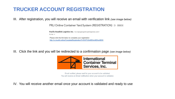#### **TRUCKER ACCOUNT REGISTRATION**

III. After registration, you will receive an email with verification link *(see image below)*

PRLI Online Container Yard System (REGISTRATION) D Inbox x

Pacific Roadlink Logistics Inc. < no-reply@logisticsphilippines.com> to me  $-$ Please click the link below to complete your registration http://cv.truckit.online/CompleteRegistration?i=SVVTUjlxMDAwMDAwMDI5

III. Click the link and you will be redirected to a confirmation page *(see image below)*



Email verified, please wait for your account to be validated. You will receive an Email notification when your account is validated.

IV. You will receive another email once your account is validated and ready to use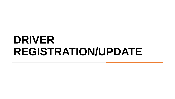### **DRIVER REGISTRATION/UPDATE**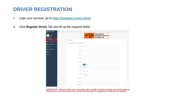#### **DRIVER REGISTRATION**

- I. Login your account, go to <https://mictpass.truckit.online/>
- II. Click **Register Driver** Tab and fill up the required fields.

| <b>A</b> MICT PASS                       | $\equiv$                                                    |
|------------------------------------------|-------------------------------------------------------------|
| Welcome,<br>PRLI<br><b>DASHBOARD</b>     | International<br>Container Terminal<br>Services, Inc.       |
| Register Driver                          | <b>MICT PASS</b>                                            |
| Schedule Orientation<br>$\checkmark$     | Personal Information Fields with asterisk (*) are required. |
| Pending Registration                     |                                                             |
| <b>&amp;</b> Driver List<br>$\checkmark$ | Purpose: *<br><b>NEW</b>                                    |
| <b>Driver with Violations</b>            | First Name: *                                               |
| 6 Trucks<br>$\check{~}$                  |                                                             |
| <b>U</b> Logout                          | Middle Name: *                                              |
|                                          | Last Name:                                                  |
|                                          | Ext. Name:                                                  |
|                                          | Date of Birth: *                                            |
|                                          | Male<br>Female<br>Gender: *                                 |
|                                          | <b>SINGLE</b><br>Civil Status: *<br>$\checkmark$            |
|                                          | Height: *                                                   |
|                                          | in centimeter (cm)                                          |
|                                          | Weight: *<br>in kilogram (kg)                               |
|                                          | Home Address: *                                             |
|                                          | Mobile Number: *                                            |
|                                          | Email Address: *                                            |

*IMPORTANT: Please make sure to provide active mobile or phone number and email address. Notifications and announcements will be sent through the registered number/email address.*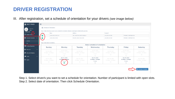#### **DRIVER REGISTRATION**

III. After registration, set a schedule of orientation for your drivers *(see image below)*

| <b>PRLI</b>                                                         | Step 1. Select driver/s you want to set a schedule for orientation. Number of participant is limited with open slots. |                                         |                                                |                                         |                                    |                                         |                                    |  |  |  |  |  |
|---------------------------------------------------------------------|-----------------------------------------------------------------------------------------------------------------------|-----------------------------------------|------------------------------------------------|-----------------------------------------|------------------------------------|-----------------------------------------|------------------------------------|--|--|--|--|--|
| ┓                                                                   | Name                                                                                                                  |                                         | <b>Address</b>                                 |                                         | Contact#                           |                                         |                                    |  |  |  |  |  |
| Register Driver<br>$\vert \mathcal{A} \vert$                        | <b>JUAN A DELA CRUZ JR</b>                                                                                            |                                         | ABC, NAVOTAS, METRO MANILA                     |                                         | (+63) 999 456 7890                 | PENDING CONFIRMATION                    |                                    |  |  |  |  |  |
| Schedule Orientation<br>$\overline{\smile}$<br>$\ddot{\phantom{1}}$ | <b>JUAN A DELA CRUZ</b>                                                                                               |                                         | NIUGAN, ANGAT, BULACAN                         |                                         | (+63) 908 440 4394                 |                                         | PENDING CONFIRMATION               |  |  |  |  |  |
|                                                                     |                                                                                                                       |                                         |                                                |                                         |                                    |                                         |                                    |  |  |  |  |  |
|                                                                     | Step 2. Select date of orientation.                                                                                   |                                         |                                                |                                         |                                    |                                         |                                    |  |  |  |  |  |
| Pending Registration                                                |                                                                                                                       |                                         | <b>Select schedule of orientation</b>          |                                         |                                    |                                         |                                    |  |  |  |  |  |
|                                                                     | <b>Sunday</b>                                                                                                         | <b>Monday</b>                           | <b>Tuesday</b>                                 | Wednesday                               | <b>Thursday</b>                    | <b>Friday</b>                           | <b>Saturday</b>                    |  |  |  |  |  |
| $\checkmark$                                                        | Oct 24, 2021                                                                                                          | Oct 25, 2021<br>$01:00$ pm - $03:00$ pm | Oct 26, 2021                                   | Oct 27, 2021<br>$01:00$ pm - $03:00$ pm | Oct 28, 2021                       | Oct 29, 2021<br>$01:00$ pm - $03:00$ pm | Oct 30, 2021                       |  |  |  |  |  |
| <b>Driver with Violations</b>                                       | $01:00$ pm - $03:00$ pm<br>$\circ$                                                                                    | 25 slots                                | $01:00 \text{pm} - 03:00 \text{pm}$<br>$\circ$ | 25 slots                                | $01:00$ pm - $03:00$ pm<br>$\circ$ | 25 slots                                | $01:00$ pm - $03:00$ pm<br>$\circ$ |  |  |  |  |  |
| $\checkmark$                                                        |                                                                                                                       | $\circ$                                 |                                                | $\circ$                                 |                                    | $\circ$                                 |                                    |  |  |  |  |  |
|                                                                     | Oct 31, 2021                                                                                                          | Nov 01, 2021<br>$01:00DB - 03:00DB$     | Nov 02, 2021                                   | Nov 03, 2021<br>01:00pm - 03:00pm       | Nov 04, 2021                       | Nov 05, 2021<br>01:00pm - 03:00pm       | Nov 06, 2021                       |  |  |  |  |  |
|                                                                     | $01:00 \text{pm} - 03:00 \text{pm}$<br>$\circ$                                                                        | 25 slots<br>$\bullet$                   | $01:00 \text{pm} - 03:00 \text{pm}$<br>$\circ$ | 25 slots<br>$\circ$                     | $01:00$ pm - $03:00$ pm<br>$\circ$ | 25 slots<br>$\circ$                     | $01:00$ pm - $03:00$ pm<br>$\circ$ |  |  |  |  |  |
|                                                                     |                                                                                                                       |                                         |                                                |                                         |                                    |                                         |                                    |  |  |  |  |  |

Step 1. Select driver/s you want to set a schedule for orientation. Number of participant is limited with open slots. Step 2. Select date of orientation. Then click Schedule Orientation.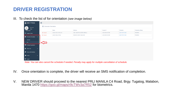### **DRIVER REGISTRATION**

III. To check the list of for orientation *(see image below)*

| <b>A</b> MICT PASS                   | $\equiv$                   |                     |                            |                    |                  |                           |
|--------------------------------------|----------------------------|---------------------|----------------------------|--------------------|------------------|---------------------------|
| Welcome,<br>PRLI                     | ■ Schedule Orientation     |                     |                            |                    |                  |                           |
| <b>DASHBOARD</b>                     |                            | <b>Name</b>         | <b>Address</b>             | Contact#           | <b>Schedule</b>  | <b>Orientation Status</b> |
| Register Driver                      | $\mathbf{\times}$   Cancel | JUAN A DELA CRUZ JR | ABC, NAVOTAS, METRO MANILA | (+63) 999 456 7890 | 2021/11/01 13:00 | <b>PENDING</b>            |
|                                      | $\mathbf{\times}$   Cancel | JUAN A DELA CRUZ    | NIUGAN, ANGAT, BULACAN     | (+63) 908 440 4394 | 2021/11/01 13:00 | <b>PENDING</b>            |
| Schedule Orientation v               |                            |                     |                            |                    |                  |                           |
| <b>Add New</b>                       |                            |                     |                            |                    |                  |                           |
| List                                 |                            |                     |                            |                    |                  |                           |
| Pending Registration                 |                            |                     |                            |                    |                  |                           |
| <b>B</b> Driver List<br>$\checkmark$ |                            |                     |                            |                    |                  |                           |
| Driver with Violations               |                            |                     |                            |                    |                  |                           |
| <b>60</b> Trucks<br>$\checkmark$     |                            |                     |                            |                    |                  |                           |
| <b>む</b> Logout                      |                            |                     |                            |                    |                  |                           |

*Note: You can also cancel the schedule if needed. Penalty may apply for multiple cancellation of schedule.*

- IV. Once orientation is complete, the driver will receive an SMS notification of completion.
- V. NEW DRIVER should proceed to the nearest PRLI MANILA C4 Road, Brgy. Tugatog, Malabon, Manila 1470<https://goo.gl/maps/r9cTWv3a7R52> for biometrics.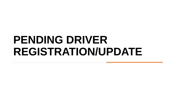## **PENDING DRIVER REGISTRATION/UPDATE**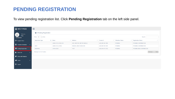#### **PENDING REGISTRATION**

To view pending registration list. Click **Pending Registration** tab on the left side panel.

| $\bigcirc$ MICT PASS                             | Ξ                                                              |                     |                            |                    |                          |                                   |  |  |  |  |
|--------------------------------------------------|----------------------------------------------------------------|---------------------|----------------------------|--------------------|--------------------------|-----------------------------------|--|--|--|--|
| C<br>Welcome,<br><b>PRLI</b><br><b>DASHBOARD</b> | Pending Registration<br>$10 \times$ entries<br>Search:<br>Show |                     |                            |                    |                          |                                   |  |  |  |  |
| Register Driver                                  | <b>Application Type</b>                                        | <b>Ji</b> Name      | It.<br><b>Address</b>      | Contact#           | <b>Orietation Status</b> | <b>Registration Status</b><br>Jĩ. |  |  |  |  |
| Schedule Orientation<br>$\checkmark$             |                                                                | JUAN A DELA CRUZ JR | ABC, NAVOTAS, METRO MANILA | (+63) 999 456 7890 | <b>PENDING</b>           | PENDING CONFIRMATION              |  |  |  |  |
|                                                  | <b>NEW</b>                                                     | JUAN A DELA CRUZ    | NIUGAN, ANGAT, BULACAN     | (+63) 908 440 4394 | <b>PENDING</b>           | PENDING CONFIRMATION              |  |  |  |  |
| <b>E</b> Pending Registration                    | <b>RENEWAL</b>                                                 | JOHN A DOE          | <b>TEST</b>                | (+63) 919 074 3782 | PENDING                  | PENDING SMS CONFIRMATION          |  |  |  |  |
| <b>B</b> Driver List<br>$\checkmark$             | Showing 1 to 3 of 3 entries                                    |                     |                            |                    |                          | Previous<br>Next                  |  |  |  |  |
| Driver with Violations                           |                                                                |                     |                            |                    |                          |                                   |  |  |  |  |
| <b>60</b> Trucks<br>$\checkmark$                 |                                                                |                     |                            |                    |                          |                                   |  |  |  |  |
| $\phi$ Logout                                    |                                                                |                     |                            |                    |                          |                                   |  |  |  |  |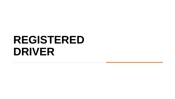## **REGISTERED DRIVER**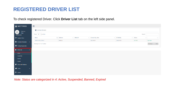#### **REGISTERED DRIVER LIST**

To check registered Driver. Click **Driver List** tab on the left side panel.

| $\bigcirc$ MICT PASS                             | $\equiv$                                              |                                   |                      |                      |                       |                      |         |                 |                       |
|--------------------------------------------------|-------------------------------------------------------|-----------------------------------|----------------------|----------------------|-----------------------|----------------------|---------|-----------------|-----------------------|
| C<br>Welcome,<br><b>PRLI</b><br><b>DASHBOARD</b> | <b>S</b>   Active Drivers<br>Show $10 \times$ entries |                                   |                      |                      |                       |                      | Search: |                 |                       |
| Register Driver                                  | Name                                                  | $\downarrow$ $\downarrow$ Address | $\ \cdot\ $ Mobile # | If License Exp. date | <b>If ID Validity</b> | $\  \cdot \ $ Status | 圹       |                 | $\downarrow \uparrow$ |
| Schedule Orientation<br>$\checkmark$             | JUAN A DELA CRUZ                                      | <b>MANILA</b>                     |                      | 2023/01/01           | 2022/01/01            | ACTIVE               |         | $Q$   View      |                       |
| Pending Registration                             | Showing 1 to 1 of 1 entries                           |                                   |                      |                      |                       |                      |         | Previous 1 Next |                       |
| <b>&amp;</b> Driver List<br>$\checkmark$         |                                                       |                                   |                      |                      |                       |                      |         |                 |                       |
| Active                                           |                                                       |                                   |                      |                      |                       |                      |         |                 |                       |
| Suspended                                        |                                                       |                                   |                      |                      |                       |                      |         |                 |                       |
| Banned                                           |                                                       |                                   |                      |                      |                       |                      |         |                 |                       |
| Expired                                          |                                                       |                                   |                      |                      |                       |                      |         |                 |                       |
| Driver with Violations                           |                                                       |                                   |                      |                      |                       |                      |         |                 |                       |
| $\overline{\bullet}$ Trucks<br>$\checkmark$      |                                                       |                                   |                      |                      |                       |                      |         |                 |                       |
| $\bullet$ Logout                                 |                                                       |                                   |                      |                      |                       |                      |         |                 |                       |

*Note: Status are categorized in 4: Active, Suspended, Banned, Expired*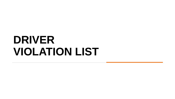### **DRIVER VIOLATION LIST**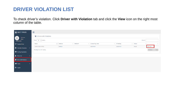#### **DRIVER VIOLATION LIST**

To check driver's violation. Click **Driver with Violation** tab and click the **View** icon on the right most column of the table.

| <b>A</b> MICT PASS                               | $\equiv$ |                                                                     |  |                   |                      |                   |                       |                      |                 |  |
|--------------------------------------------------|----------|---------------------------------------------------------------------|--|-------------------|----------------------|-------------------|-----------------------|----------------------|-----------------|--|
| C<br>Welcome,<br><b>PRLI</b><br><b>DASHBOARD</b> |          | I Drivers with Violations<br>$10 \times$ entries<br>Search:<br>Show |  |                   |                      |                   |                       |                      |                 |  |
| Register Driver                                  |          | <b>Name</b>                                                         |  | <b>JL</b> Address | $\ \cdot\ $ Mobile # | License Exp. date | <b>If ID Validity</b> | $\  \cdot \ $ Status |                 |  |
| Schedule Orientation<br>$\checkmark$             |          | JUAN A DELA CRUZ                                                    |  | MANILA            |                      | 2023/01/01        | 2022/01/01            | <b>VALID</b>         | Q   View        |  |
| Pending Registration                             |          | Showing 1 to 1 of 1 entries                                         |  |                   |                      |                   |                       |                      | Previous 1 Next |  |
| <b>&amp;</b> Driver List<br>$\checkmark$         |          |                                                                     |  |                   |                      |                   |                       |                      |                 |  |
| Driver with Violations                           |          |                                                                     |  |                   |                      |                   |                       |                      |                 |  |
| $\sqrt{2}$ Trucks<br>$\checkmark$                |          |                                                                     |  |                   |                      |                   |                       |                      |                 |  |
| $\bullet$ Logout                                 |          |                                                                     |  |                   |                      |                   |                       |                      |                 |  |
|                                                  |          |                                                                     |  |                   |                      |                   |                       |                      |                 |  |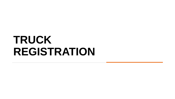### **TRUCK REGISTRATION**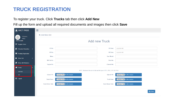#### **TRUCK REGISTRATION**

#### To register your truck. Click **Trucks** tab then click **Add New**

Fill up the form and upload all required documents and images then click **Save**

| <b>A</b> MICT PASS              | $\equiv$                  |                            |                                                                        |                            |  |  |  |  |  |  |  |  |  |
|---------------------------------|---------------------------|----------------------------|------------------------------------------------------------------------|----------------------------|--|--|--|--|--|--|--|--|--|
| Welcome,                        | +   Add New Unit          |                            |                                                                        |                            |  |  |  |  |  |  |  |  |  |
| <b>PRLI</b><br><b>DASHBOARD</b> |                           | <b>Add new Truck</b>       |                                                                        |                            |  |  |  |  |  |  |  |  |  |
| Register Driver                 |                           |                            |                                                                        |                            |  |  |  |  |  |  |  |  |  |
| Schedule Orientation            | CR No:<br>$\checkmark$    |                            | <b>CR</b> Date:                                                        | yyyy/mm/dd                 |  |  |  |  |  |  |  |  |  |
| Pending Registration            | OR No:                    |                            | <b>OR Date:</b>                                                        | yyyy/mm/dd                 |  |  |  |  |  |  |  |  |  |
| <b>A</b> Driver List            | Make:<br>$\checkmark$     |                            | <b>Year Model:</b>                                                     |                            |  |  |  |  |  |  |  |  |  |
|                                 | <b>MV File No:</b>        |                            | Plate No:                                                              |                            |  |  |  |  |  |  |  |  |  |
| <b>Driver with Violations</b>   | <b>Engine No:</b>         |                            | <b>Chassis No:</b>                                                     |                            |  |  |  |  |  |  |  |  |  |
| <b>d</b> Trucks                 |                           |                            |                                                                        |                            |  |  |  |  |  |  |  |  |  |
| <b>Add New</b>                  |                           |                            | NOTE: Maximum file size is 5mb and file type is PDF, JPEG, JPG OR PNG. |                            |  |  |  |  |  |  |  |  |  |
| List                            | <b>Upload CR:</b>         | Choose File No file chosen | <b>Upload OR:</b>                                                      | Choose File No file chosen |  |  |  |  |  |  |  |  |  |
| <b>少</b> Logout                 | <b>Truck Front:</b>       | Choose File No file chosen | <b>Truck Rear:</b>                                                     | Choose File No file chosen |  |  |  |  |  |  |  |  |  |
|                                 | <b>Truck Driver Side:</b> | Choose File No file chosen | <b>Truck Helper Side:</b>                                              | Choose File No file chosen |  |  |  |  |  |  |  |  |  |
|                                 |                           |                            |                                                                        |                            |  |  |  |  |  |  |  |  |  |
|                                 |                           |                            |                                                                        | <b>圖  Save</b>             |  |  |  |  |  |  |  |  |  |